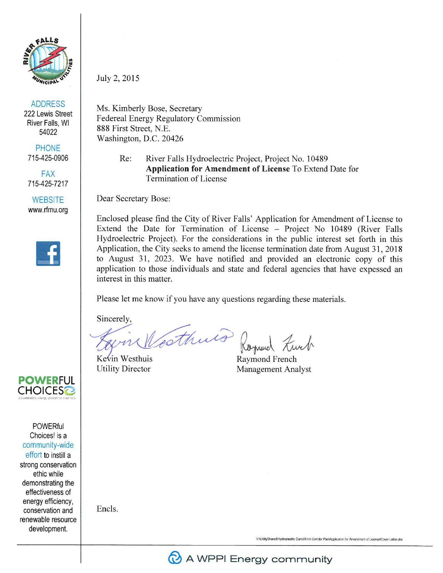

ADDRESS

222 Lewis Street River Falls, WI 54022

PHONE 715-425-0906

FAX 715-425-7217

**WEBSITE** www.rfmu.org



July 2, 2015

Ms. Kimberly Bose, Secretary Federeal Energy Regulatory Commission 888 First Street, N.E. Washington, D.C. 20426

> Re: River Falls Hydroelectric Project, Project No. 10489 **Application for Amendment of License** To Extend Date for Termination of License

Dear Secretary Bose:

Enclosed please find the City of River Falls' Application for Amendment of License to Extend the Date for Termination of License - Project No 10489 (River Falls Hydroelectric Project). For the considerations in the public interest set forth in this Application, the City seeks to amend the license termination date from August 31, 2018 to August 31, 2023. We have notified and provided an electronic copy of this application to those individuals and state and federal agencies that have expessed an interest in this matter.

Please let me know if you have any questions regarding these materials.

Sincerely,

Westhing Roymond Liver

Kevin Westhuis

Utility Director Management Analyst

**POWERFUL<br>CHOICES@** 

**POWERful** Choices! is a community-wide effort to instill a strong conservation ethic while demonstrating the effectiveness of energy efficiency, conservation and renewable resource development.

Encls.

**V:\UlilityShared\Hyl'.toetectnc** D.rns\Krnrn **Conidor P:&!i\AWication for Amendment** *cA* **Licen.se\Cover Letler.d:x:**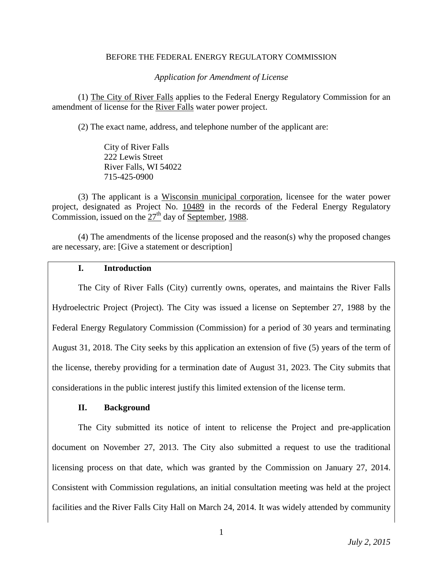#### BEFORE THE FEDERAL ENERGY REGULATORY COMMISSION

*Application for Amendment of License* 

(1) The City of River Falls applies to the Federal Energy Regulatory Commission for an amendment of license for the River Falls water power project.

(2) The exact name, address, and telephone number of the applicant are:

City of River Falls 222 Lewis Street River Falls, WI 54022 715-425-0900

(3) The applicant is a Wisconsin municipal corporation, licensee for the water power project, designated as Project No. 10489 in the records of the Federal Energy Regulatory Commission, issued on the  $27<sup>th</sup>$  day of September, 1988.

(4) The amendments of the license proposed and the reason(s) why the proposed changes are necessary, are: [Give a statement or description]

#### **I. Introduction**

The City of River Falls (City) currently owns, operates, and maintains the River Falls Hydroelectric Project (Project). The City was issued a license on September 27, 1988 by the Federal Energy Regulatory Commission (Commission) for a period of 30 years and terminating August 31, 2018. The City seeks by this application an extension of five (5) years of the term of the license, thereby providing for a termination date of August 31, 2023. The City submits that considerations in the public interest justify this limited extension of the license term.

## **II. Background**

The City submitted its notice of intent to relicense the Project and pre-application document on November 27, 2013. The City also submitted a request to use the traditional licensing process on that date, which was granted by the Commission on January 27, 2014. Consistent with Commission regulations, an initial consultation meeting was held at the project facilities and the River Falls City Hall on March 24, 2014. It was widely attended by community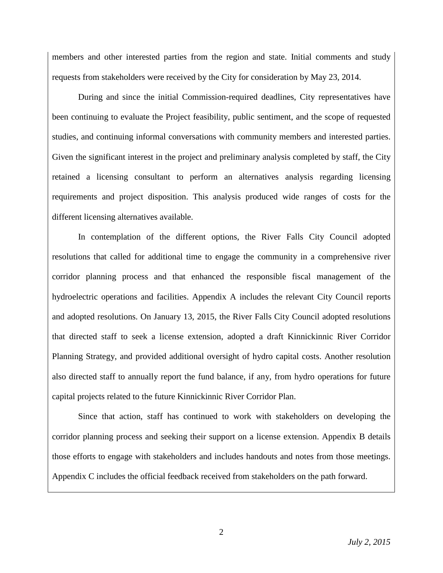members and other interested parties from the region and state. Initial comments and study requests from stakeholders were received by the City for consideration by May 23, 2014.

During and since the initial Commission-required deadlines, City representatives have been continuing to evaluate the Project feasibility, public sentiment, and the scope of requested studies, and continuing informal conversations with community members and interested parties. Given the significant interest in the project and preliminary analysis completed by staff, the City retained a licensing consultant to perform an alternatives analysis regarding licensing requirements and project disposition. This analysis produced wide ranges of costs for the different licensing alternatives available.

In contemplation of the different options, the River Falls City Council adopted resolutions that called for additional time to engage the community in a comprehensive river corridor planning process and that enhanced the responsible fiscal management of the hydroelectric operations and facilities. Appendix A includes the relevant City Council reports and adopted resolutions. On January 13, 2015, the River Falls City Council adopted resolutions that directed staff to seek a license extension, adopted a draft Kinnickinnic River Corridor Planning Strategy, and provided additional oversight of hydro capital costs. Another resolution also directed staff to annually report the fund balance, if any, from hydro operations for future capital projects related to the future Kinnickinnic River Corridor Plan.

Since that action, staff has continued to work with stakeholders on developing the corridor planning process and seeking their support on a license extension. Appendix B details those efforts to engage with stakeholders and includes handouts and notes from those meetings. Appendix C includes the official feedback received from stakeholders on the path forward.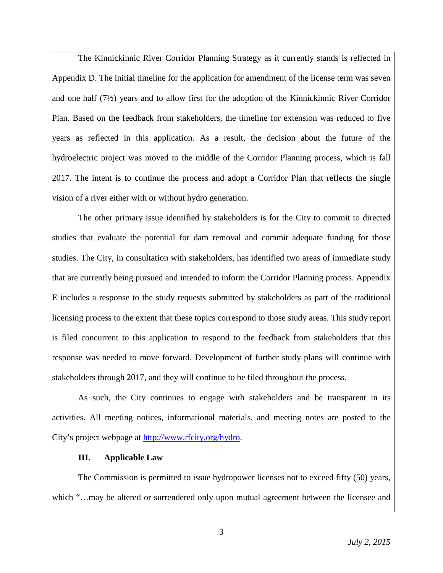The Kinnickinnic River Corridor Planning Strategy as it currently stands is reflected in Appendix D. The initial timeline for the application for amendment of the license term was seven and one half (7½) years and to allow first for the adoption of the Kinnickinnic River Corridor Plan. Based on the feedback from stakeholders, the timeline for extension was reduced to five years as reflected in this application. As a result, the decision about the future of the hydroelectric project was moved to the middle of the Corridor Planning process, which is fall 2017. The intent is to continue the process and adopt a Corridor Plan that reflects the single vision of a river either with or without hydro generation.

The other primary issue identified by stakeholders is for the City to commit to directed studies that evaluate the potential for dam removal and commit adequate funding for those studies. The City, in consultation with stakeholders, has identified two areas of immediate study that are currently being pursued and intended to inform the Corridor Planning process. Appendix E includes a response to the study requests submitted by stakeholders as part of the traditional licensing process to the extent that these topics correspond to those study areas. This study report is filed concurrent to this application to respond to the feedback from stakeholders that this response was needed to move forward. Development of further study plans will continue with stakeholders through 2017, and they will continue to be filed throughout the process.

As such, the City continues to engage with stakeholders and be transparent in its activities. All meeting notices, informational materials, and meeting notes are posted to the City's project webpage at [http://www.rfcity.org/hydro.](http://www.rfcity.org/hydro)

# **III. Applicable Law**

The Commission is permitted to issue hydropower licenses not to exceed fifty (50) years, which "...may be altered or surrendered only upon mutual agreement between the licensee and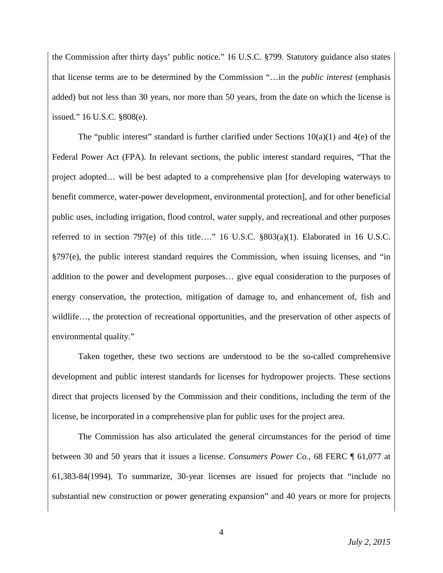the Commission after thirty days' public notice." 16 U.S.C. §799. Statutory guidance also states that license terms are to be determined by the Commission "…in the *public interest* (emphasis added) but not less than 30 years, nor more than 50 years, from the date on which the license is issued." 16 U.S.C. §808(e).

The "public interest" standard is further clarified under Sections  $10(a)(1)$  and  $4(e)$  of the Federal Power Act (FPA). In relevant sections, the public interest standard requires, "That the project adopted… will be best adapted to a comprehensive plan [for developing waterways to benefit commerce, water-power development, environmental protection], and for other beneficial public uses, including irrigation, flood control, water supply, and recreational and other purposes referred to in section 797(e) of this title…." 16 U.S.C. §803(a)(1). Elaborated in 16 U.S.C. §797(e), the public interest standard requires the Commission, when issuing licenses, and "in addition to the power and development purposes… give equal consideration to the purposes of energy conservation, the protection, mitigation of damage to, and enhancement of, fish and wildlife…, the protection of recreational opportunities, and the preservation of other aspects of environmental quality."

Taken together, these two sections are understood to be the so-called comprehensive development and public interest standards for licenses for hydropower projects. These sections direct that projects licensed by the Commission and their conditions, including the term of the license, be incorporated in a comprehensive plan for public uses for the project area.

The Commission has also articulated the general circumstances for the period of time between 30 and 50 years that it issues a license. *Consumers Power Co.*, 68 FERC ¶ 61,077 at 61,383-84(1994). To summarize, 30-year licenses are issued for projects that "include no substantial new construction or power generating expansion" and 40 years or more for projects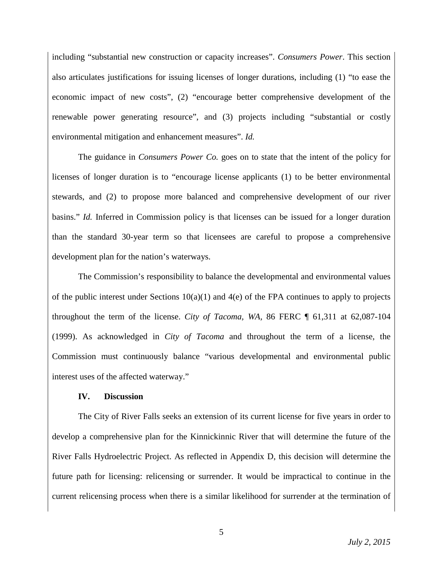including "substantial new construction or capacity increases". *Consumers Power*. This section also articulates justifications for issuing licenses of longer durations, including (1) "to ease the economic impact of new costs", (2) "encourage better comprehensive development of the renewable power generating resource", and (3) projects including "substantial or costly environmental mitigation and enhancement measures". *Id.*

The guidance in *Consumers Power Co.* goes on to state that the intent of the policy for licenses of longer duration is to "encourage license applicants (1) to be better environmental stewards, and (2) to propose more balanced and comprehensive development of our river basins." *Id.* Inferred in Commission policy is that licenses can be issued for a longer duration than the standard 30-year term so that licensees are careful to propose a comprehensive development plan for the nation's waterways.

The Commission's responsibility to balance the developmental and environmental values of the public interest under Sections  $10(a)(1)$  and  $4(e)$  of the FPA continues to apply to projects throughout the term of the license. *City of Tacoma, WA,* 86 FERC ¶ 61,311 at 62,087-104 (1999). As acknowledged in *City of Tacoma* and throughout the term of a license, the Commission must continuously balance "various developmental and environmental public interest uses of the affected waterway."

## **IV. Discussion**

The City of River Falls seeks an extension of its current license for five years in order to develop a comprehensive plan for the Kinnickinnic River that will determine the future of the River Falls Hydroelectric Project. As reflected in Appendix D, this decision will determine the future path for licensing: relicensing or surrender. It would be impractical to continue in the current relicensing process when there is a similar likelihood for surrender at the termination of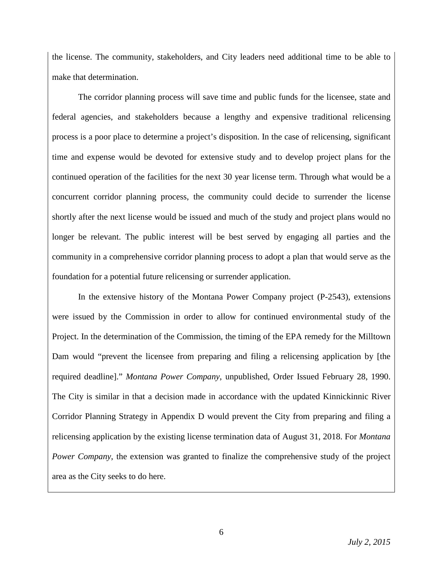the license. The community, stakeholders, and City leaders need additional time to be able to make that determination.

The corridor planning process will save time and public funds for the licensee, state and federal agencies, and stakeholders because a lengthy and expensive traditional relicensing process is a poor place to determine a project's disposition. In the case of relicensing, significant time and expense would be devoted for extensive study and to develop project plans for the continued operation of the facilities for the next 30 year license term. Through what would be a concurrent corridor planning process, the community could decide to surrender the license shortly after the next license would be issued and much of the study and project plans would no longer be relevant. The public interest will be best served by engaging all parties and the community in a comprehensive corridor planning process to adopt a plan that would serve as the foundation for a potential future relicensing or surrender application.

In the extensive history of the Montana Power Company project (P-2543), extensions were issued by the Commission in order to allow for continued environmental study of the Project. In the determination of the Commission, the timing of the EPA remedy for the Milltown Dam would "prevent the licensee from preparing and filing a relicensing application by [the required deadline]." *Montana Power Company*, unpublished, Order Issued February 28, 1990. The City is similar in that a decision made in accordance with the updated Kinnickinnic River Corridor Planning Strategy in Appendix D would prevent the City from preparing and filing a relicensing application by the existing license termination data of August 31, 2018. For *Montana Power Company*, the extension was granted to finalize the comprehensive study of the project area as the City seeks to do here.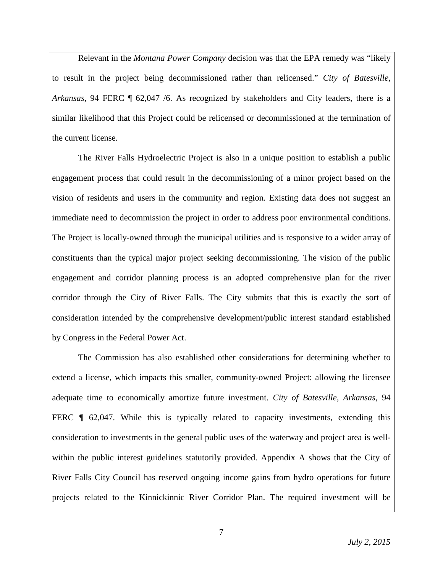Relevant in the *Montana Power Company* decision was that the EPA remedy was "likely to result in the project being decommissioned rather than relicensed." *City of Batesville, Arkansas*, 94 FERC ¶ 62,047 /6. As recognized by stakeholders and City leaders, there is a similar likelihood that this Project could be relicensed or decommissioned at the termination of the current license.

The River Falls Hydroelectric Project is also in a unique position to establish a public engagement process that could result in the decommissioning of a minor project based on the vision of residents and users in the community and region. Existing data does not suggest an immediate need to decommission the project in order to address poor environmental conditions. The Project is locally-owned through the municipal utilities and is responsive to a wider array of constituents than the typical major project seeking decommissioning. The vision of the public engagement and corridor planning process is an adopted comprehensive plan for the river corridor through the City of River Falls. The City submits that this is exactly the sort of consideration intended by the comprehensive development/public interest standard established by Congress in the Federal Power Act.

The Commission has also established other considerations for determining whether to extend a license, which impacts this smaller, community-owned Project: allowing the licensee adequate time to economically amortize future investment. *City of Batesville, Arkansas*, 94 FERC  $\parallel$  62,047. While this is typically related to capacity investments, extending this consideration to investments in the general public uses of the waterway and project area is wellwithin the public interest guidelines statutorily provided. Appendix A shows that the City of River Falls City Council has reserved ongoing income gains from hydro operations for future projects related to the Kinnickinnic River Corridor Plan. The required investment will be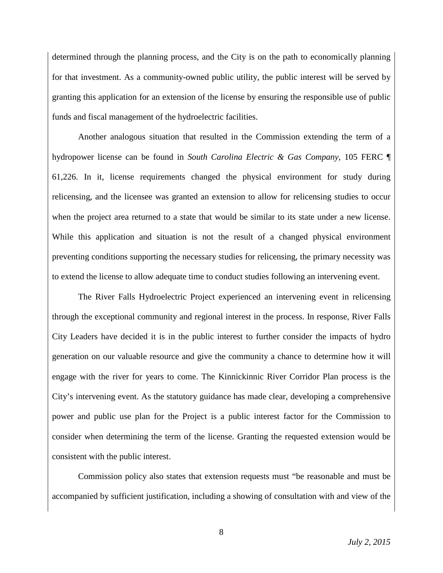determined through the planning process, and the City is on the path to economically planning for that investment. As a community-owned public utility, the public interest will be served by granting this application for an extension of the license by ensuring the responsible use of public funds and fiscal management of the hydroelectric facilities.

Another analogous situation that resulted in the Commission extending the term of a hydropower license can be found in *South Carolina Electric & Gas Company*, 105 FERC ¶ 61,226. In it, license requirements changed the physical environment for study during relicensing, and the licensee was granted an extension to allow for relicensing studies to occur when the project area returned to a state that would be similar to its state under a new license. While this application and situation is not the result of a changed physical environment preventing conditions supporting the necessary studies for relicensing, the primary necessity was to extend the license to allow adequate time to conduct studies following an intervening event.

The River Falls Hydroelectric Project experienced an intervening event in relicensing through the exceptional community and regional interest in the process. In response, River Falls City Leaders have decided it is in the public interest to further consider the impacts of hydro generation on our valuable resource and give the community a chance to determine how it will engage with the river for years to come. The Kinnickinnic River Corridor Plan process is the City's intervening event. As the statutory guidance has made clear, developing a comprehensive power and public use plan for the Project is a public interest factor for the Commission to consider when determining the term of the license. Granting the requested extension would be consistent with the public interest.

Commission policy also states that extension requests must "be reasonable and must be accompanied by sufficient justification, including a showing of consultation with and view of the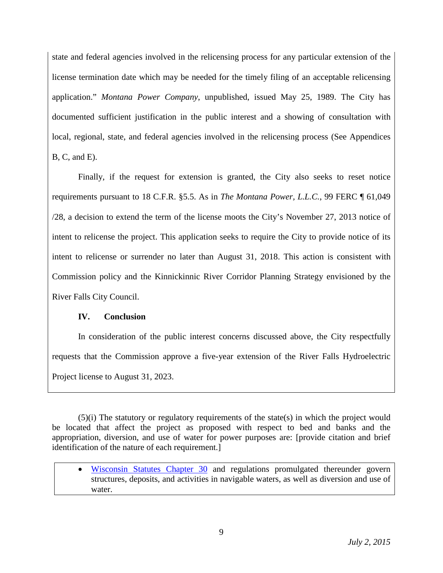state and federal agencies involved in the relicensing process for any particular extension of the license termination date which may be needed for the timely filing of an acceptable relicensing application." *Montana Power Company*, unpublished, issued May 25, 1989. The City has documented sufficient justification in the public interest and a showing of consultation with local, regional, state, and federal agencies involved in the relicensing process (See Appendices B, C, and E).

Finally, if the request for extension is granted, the City also seeks to reset notice requirements pursuant to 18 C.F.R. §5.5. As in *The Montana Power, L.L.C.*, 99 FERC ¶ 61,049 /28, a decision to extend the term of the license moots the City's November 27, 2013 notice of intent to relicense the project. This application seeks to require the City to provide notice of its intent to relicense or surrender no later than August 31, 2018. This action is consistent with Commission policy and the Kinnickinnic River Corridor Planning Strategy envisioned by the River Falls City Council.

# **IV. Conclusion**

In consideration of the public interest concerns discussed above, the City respectfully requests that the Commission approve a five-year extension of the River Falls Hydroelectric Project license to August 31, 2023.

(5)(i) The statutory or regulatory requirements of the state(s) in which the project would be located that affect the project as proposed with respect to bed and banks and the appropriation, diversion, and use of water for power purposes are: [provide citation and brief identification of the nature of each requirement.]

• [Wisconsin Statutes Chapter 30](http://docs.legis.wisconsin.gov/statutes/statutes/30) and regulations promulgated thereunder govern structures, deposits, and activities in navigable waters, as well as diversion and use of water.